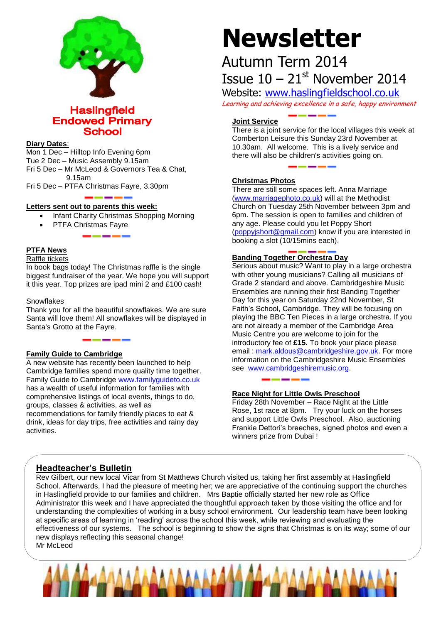

**Haslingfield Endowed Primary School** 

# **Diary Dates**:

Mon 1 Dec – Hilltop Info Evening 6pm Tue 2 Dec – Music Assembly 9.15am Fri 5 Dec – Mr McLeod & Governors Tea & Chat, 9.15am

Fri 5 Dec – PTFA Christmas Fayre, 3.30pm

# **Letters sent out to parents this week:**

- Infant Charity Christmas Shopping Morning
- PTFA Christmas Fayre

# **PTFA News**

#### Raffle tickets

In book bags today! The Christmas raffle is the single biggest fundraiser of the year. We hope you will support it this year. Top prizes are ipad mini 2 and £100 cash!

# **Snowflakes**

Thank you for all the beautiful snowflakes. We are sure Santa will love them! All snowflakes will be displayed in Santa's Grotto at the Fayre.

# **Family Guide to Cambridge**

A new website has recently been launched to help Cambridge families spend more quality time together. Family Guide to Cambridge [www.familyguideto.co.uk](http://www.familyguideto.co.uk/) has a wealth of useful information for families with comprehensive listings of local events, things to do, groups, classes & activities, as well as recommendations for family friendly places to eat & drink, ideas for day trips, free activities and rainy day activities.

# **Newsletter**

# Autumn Term 2014 Issue  $10 - 21$ <sup>st</sup> November 2014

Website: [www.haslingfieldschool.co.uk](http://www.haslingfieldschool.co.uk/) Learning and achieving excellence in a safe, happy environment

# **Joint Service**

There is a joint service for the local villages this week at Comberton Leisure this Sunday 23rd November at 10.30am. All welcome. This is a lively service and there will also be children's activities going on.

# **Christmas Photos**

There are still some spaces left. Anna Marriage [\(www.marriagephoto.co.uk\)](http://www.marriagephoto.co.uk/) will at the Methodist Church on Tuesday 25th November between 3pm and 6pm. The session is open to families and children of any age. Please could you let Poppy Short [\(poppyjshort@gmail.com\)](mailto:poppyjshort@gmail.com) know if you are interested in booking a slot (10/15mins each).

# **Banding Together Orchestra Day**

Serious about music? Want to play in a large orchestra with other young musicians? Calling all musicians of Grade 2 standard and above. Cambridgeshire Music Ensembles are running their first Banding Together Day for this year on Saturday 22nd November, St Faith's School, Cambridge. They will be focusing on playing the BBC Ten Pieces in a large orchestra. If you are not already a member of the Cambridge Area Music Centre you are welcome to join for the introductory fee of **£15.** To book your place please email: [mark.aldous@cambridgeshire.gov.uk.](mailto:mark.aldous@cambridgeshire.gov.uk) For more information on the Cambridgeshire Music Ensembles see [www.cambridgeshiremusic.org.](http://www.cambridgeshiremusic.org/)

# **Race Night for Little Owls Preschool**

Friday 28th November – Race Night at the Little Rose, 1st race at 8pm. Try your luck on the horses and support Little Owls Preschool. Also, auctioning Frankie Dettori's breeches, signed photos and even a winners prize from Dubai !

# **Headteacher's Bulletin**

Rev Gilbert, our new local Vicar from St Matthews Church visited us, taking her first assembly at Haslingfield School. Afterwards, I had the pleasure of meeting her; we are appreciative of the continuing support the churches in Haslingfield provide to our families and children. Mrs Baptie officially started her new role as Office Administrator this week and I have appreciated the thoughtful approach taken by those visiting the office and for understanding the complexities of working in a busy school environment. Our leadership team have been looking at specific areas of learning in 'reading' across the school this week, while reviewing and evaluating the effectiveness of our systems. The school is beginning to show the signs that Christmas is on its way; some of our new displays reflecting this seasonal change! Mr McLeod